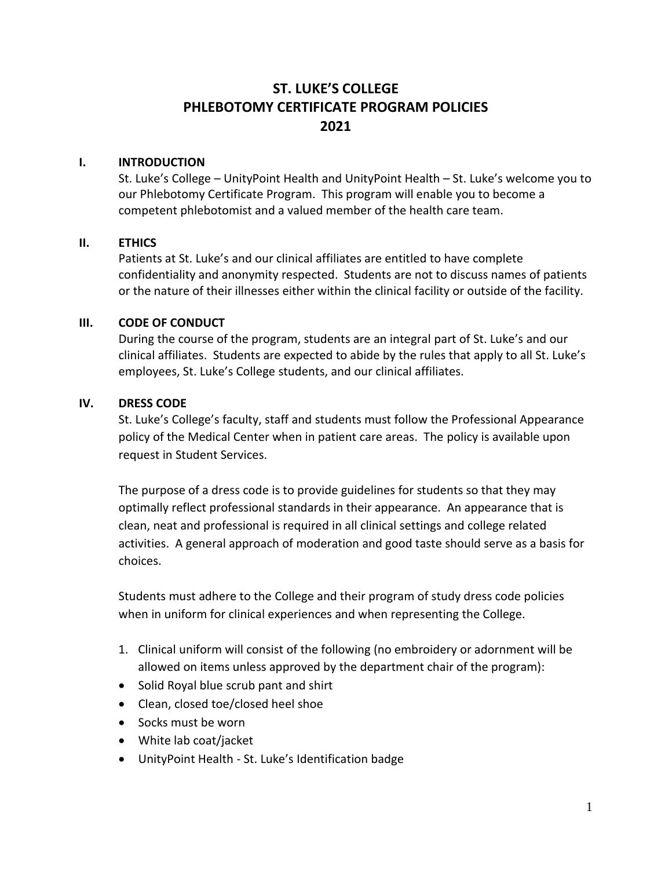# **ST. LUKE'S COLLEGE PHLEBOTOMY CERTIFICATE PROGRAM POLICIES 2021**

#### **I. INTRODUCTION**

St. Luke's College – UnityPoint Health and UnityPoint Health – St. Luke's welcome you to our Phlebotomy Certificate Program. This program will enable you to become a competent phlebotomist and a valued member of the health care team.

### **II. ETHICS**

Patients at St. Luke's and our clinical affiliates are entitled to have complete confidentiality and anonymity respected. Students are not to discuss names of patients or the nature of their illnesses either within the clinical facility or outside of the facility.

#### **III. CODE OF CONDUCT**

During the course of the program, students are an integral part of St. Luke's and our clinical affiliates. Students are expected to abide by the rules that apply to all St. Luke's employees, St. Luke's College students, and our clinical affiliates.

#### **IV. DRESS CODE**

St. Luke's College's faculty, staff and students must follow the Professional Appearance policy of the Medical Center when in patient care areas. The policy is available upon request in Student Services.

The purpose of a dress code is to provide guidelines for students so that they may optimally reflect professional standards in their appearance. An appearance that is clean, neat and professional is required in all clinical settings and college related activities. A general approach of moderation and good taste should serve as a basis for choices.

Students must adhere to the College and their program of study dress code policies when in uniform for clinical experiences and when representing the College.

- 1. Clinical uniform will consist of the following (no embroidery or adornment will be allowed on items unless approved by the department chair of the program):
- Solid Royal blue scrub pant and shirt
- Clean, closed toe/closed heel shoe
- Socks must be worn
- White lab coat/jacket
- UnityPoint Health St. Luke's Identification badge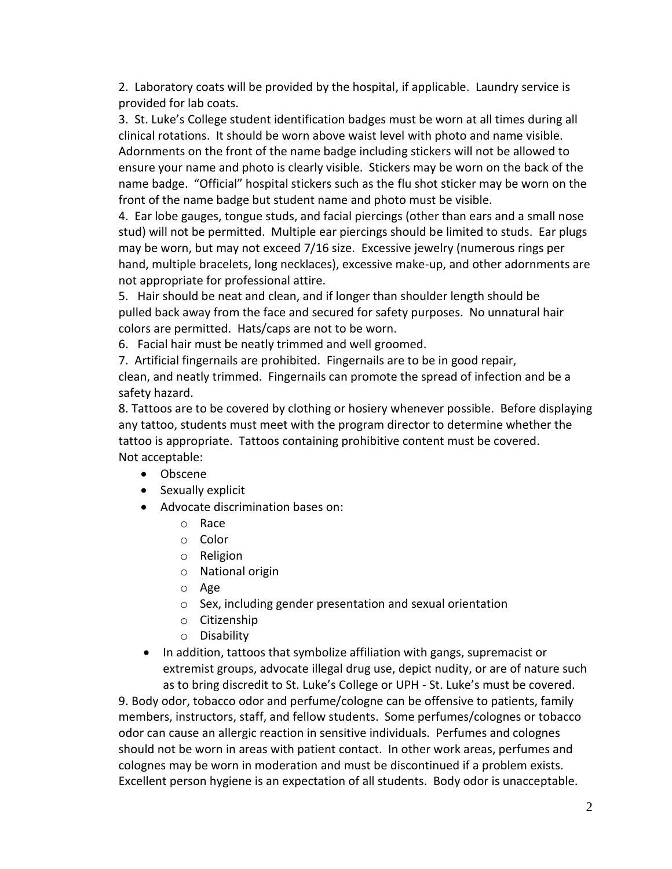2. Laboratory coats will be provided by the hospital, if applicable. Laundry service is provided for lab coats.

3. St. Luke's College student identification badges must be worn at all times during all clinical rotations. It should be worn above waist level with photo and name visible. Adornments on the front of the name badge including stickers will not be allowed to ensure your name and photo is clearly visible. Stickers may be worn on the back of the name badge. "Official" hospital stickers such as the flu shot sticker may be worn on the front of the name badge but student name and photo must be visible.

4. Ear lobe gauges, tongue studs, and facial piercings (other than ears and a small nose stud) will not be permitted. Multiple ear piercings should be limited to studs. Ear plugs may be worn, but may not exceed 7/16 size. Excessive jewelry (numerous rings per hand, multiple bracelets, long necklaces), excessive make-up, and other adornments are not appropriate for professional attire.

5. Hair should be neat and clean, and if longer than shoulder length should be pulled back away from the face and secured for safety purposes. No unnatural hair colors are permitted. Hats/caps are not to be worn.

6. Facial hair must be neatly trimmed and well groomed.

7. Artificial fingernails are prohibited. Fingernails are to be in good repair,

clean, and neatly trimmed. Fingernails can promote the spread of infection and be a safety hazard.

8. Tattoos are to be covered by clothing or hosiery whenever possible. Before displaying any tattoo, students must meet with the program director to determine whether the tattoo is appropriate. Tattoos containing prohibitive content must be covered. Not acceptable:

- Obscene
- Sexually explicit
- Advocate discrimination bases on:
	- o Race
	- o Color
	- o Religion
	- o National origin
	- o Age
	- o Sex, including gender presentation and sexual orientation
	- o Citizenship
	- o Disability
- In addition, tattoos that symbolize affiliation with gangs, supremacist or extremist groups, advocate illegal drug use, depict nudity, or are of nature such as to bring discredit to St. Luke's College or UPH - St. Luke's must be covered.

9. Body odor, tobacco odor and perfume/cologne can be offensive to patients, family members, instructors, staff, and fellow students. Some perfumes/colognes or tobacco odor can cause an allergic reaction in sensitive individuals. Perfumes and colognes should not be worn in areas with patient contact. In other work areas, perfumes and colognes may be worn in moderation and must be discontinued if a problem exists. Excellent person hygiene is an expectation of all students. Body odor is unacceptable.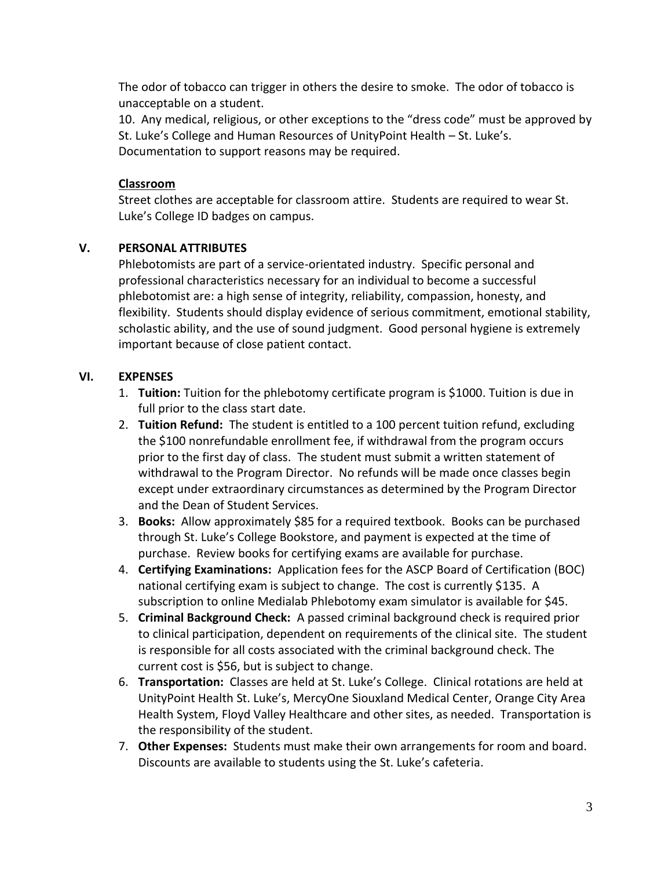The odor of tobacco can trigger in others the desire to smoke. The odor of tobacco is unacceptable on a student.

10. Any medical, religious, or other exceptions to the "dress code" must be approved by St. Luke's College and Human Resources of UnityPoint Health – St. Luke's. Documentation to support reasons may be required.

### **Classroom**

Street clothes are acceptable for classroom attire. Students are required to wear St. Luke's College ID badges on campus.

### **V. PERSONAL ATTRIBUTES**

Phlebotomists are part of a service-orientated industry. Specific personal and professional characteristics necessary for an individual to become a successful phlebotomist are: a high sense of integrity, reliability, compassion, honesty, and flexibility. Students should display evidence of serious commitment, emotional stability, scholastic ability, and the use of sound judgment. Good personal hygiene is extremely important because of close patient contact.

### **VI. EXPENSES**

- 1. **Tuition:** Tuition for the phlebotomy certificate program is \$1000. Tuition is due in full prior to the class start date.
- 2. **Tuition Refund:** The student is entitled to a 100 percent tuition refund, excluding the \$100 nonrefundable enrollment fee, if withdrawal from the program occurs prior to the first day of class. The student must submit a written statement of withdrawal to the Program Director. No refunds will be made once classes begin except under extraordinary circumstances as determined by the Program Director and the Dean of Student Services.
- 3. **Books:** Allow approximately \$85 for a required textbook. Books can be purchased through St. Luke's College Bookstore, and payment is expected at the time of purchase. Review books for certifying exams are available for purchase.
- 4. **Certifying Examinations:** Application fees for the ASCP Board of Certification (BOC) national certifying exam is subject to change. The cost is currently \$135. A subscription to online Medialab Phlebotomy exam simulator is available for \$45.
- 5. **Criminal Background Check:** A passed criminal background check is required prior to clinical participation, dependent on requirements of the clinical site. The student is responsible for all costs associated with the criminal background check. The current cost is \$56, but is subject to change.
- 6. **Transportation:** Classes are held at St. Luke's College. Clinical rotations are held at UnityPoint Health St. Luke's, MercyOne Siouxland Medical Center, Orange City Area Health System, Floyd Valley Healthcare and other sites, as needed. Transportation is the responsibility of the student.
- 7. **Other Expenses:** Students must make their own arrangements for room and board. Discounts are available to students using the St. Luke's cafeteria.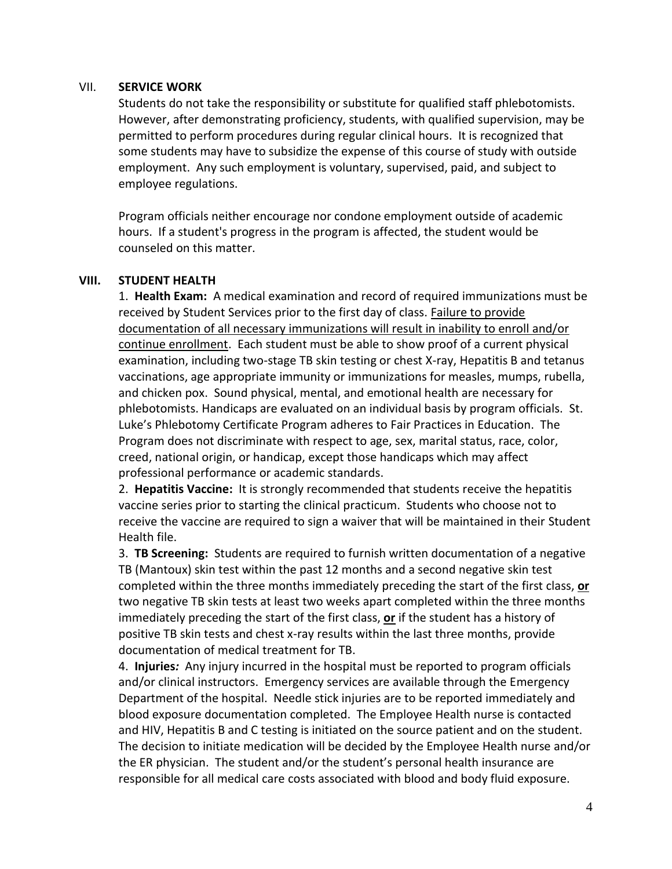#### VII. **SERVICE WORK**

Students do not take the responsibility or substitute for qualified staff phlebotomists. However, after demonstrating proficiency, students, with qualified supervision, may be permitted to perform procedures during regular clinical hours. It is recognized that some students may have to subsidize the expense of this course of study with outside employment. Any such employment is voluntary, supervised, paid, and subject to employee regulations.

Program officials neither encourage nor condone employment outside of academic hours. If a student's progress in the program is affected, the student would be counseled on this matter.

#### **VIII. STUDENT HEALTH**

1. **Health Exam:** A medical examination and record of required immunizations must be received by Student Services prior to the first day of class. Failure to provide documentation of all necessary immunizations will result in inability to enroll and/or continue enrollment. Each student must be able to show proof of a current physical examination, including two-stage TB skin testing or chest X-ray, Hepatitis B and tetanus vaccinations, age appropriate immunity or immunizations for measles, mumps, rubella, and chicken pox. Sound physical, mental, and emotional health are necessary for phlebotomists. Handicaps are evaluated on an individual basis by program officials. St. Luke's Phlebotomy Certificate Program adheres to Fair Practices in Education. The Program does not discriminate with respect to age, sex, marital status, race, color, creed, national origin, or handicap, except those handicaps which may affect professional performance or academic standards.

2. **Hepatitis Vaccine:** It is strongly recommended that students receive the hepatitis vaccine series prior to starting the clinical practicum. Students who choose not to receive the vaccine are required to sign a waiver that will be maintained in their Student Health file.

3. **TB Screening:** Students are required to furnish written documentation of a negative TB (Mantoux) skin test within the past 12 months and a second negative skin test completed within the three months immediately preceding the start of the first class, **or** two negative TB skin tests at least two weeks apart completed within the three months immediately preceding the start of the first class, **or** if the student has a history of positive TB skin tests and chest x-ray results within the last three months, provide documentation of medical treatment for TB.

4. **Injuries***:* Any injury incurred in the hospital must be reported to program officials and/or clinical instructors. Emergency services are available through the Emergency Department of the hospital. Needle stick injuries are to be reported immediately and blood exposure documentation completed. The Employee Health nurse is contacted and HIV, Hepatitis B and C testing is initiated on the source patient and on the student. The decision to initiate medication will be decided by the Employee Health nurse and/or the ER physician. The student and/or the student's personal health insurance are responsible for all medical care costs associated with blood and body fluid exposure.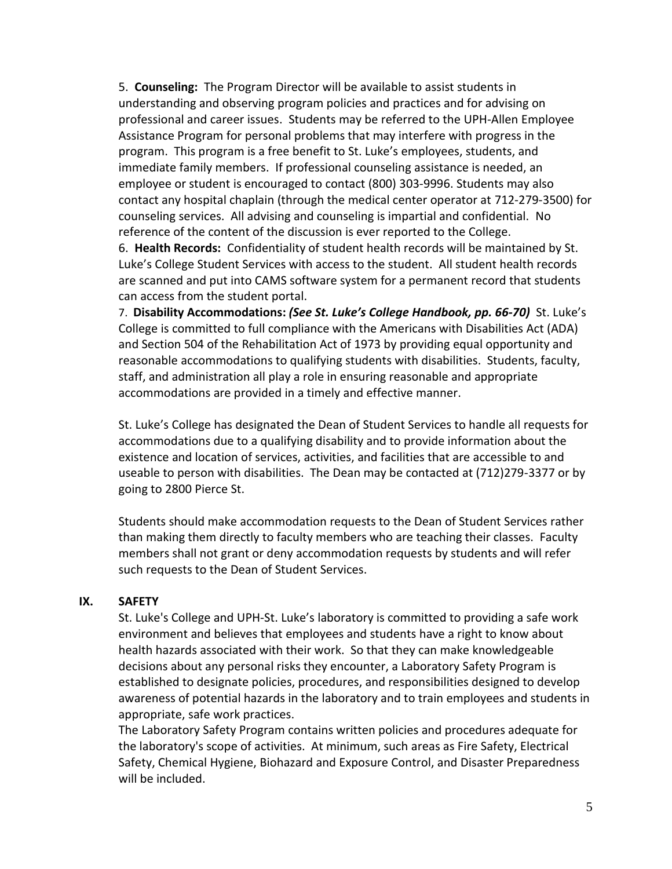5. **Counseling:**The Program Director will be available to assist students in understanding and observing program policies and practices and for advising on professional and career issues.Students may be referred to the UPH-Allen Employee Assistance Program for personal problems that may interfere with progress in the program. This program is a free benefit to St. Luke's employees, students, and immediate family members. If professional counseling assistance is needed, an employee or student is encouraged to contact (800) 303-9996. Students may also contact any hospital chaplain (through the medical center operator at 712-279-3500) for counseling services. All advising and counseling is impartial and confidential. No reference of the content of the discussion is ever reported to the College.

6. **Health Records:**Confidentiality of student health records will be maintained by St. Luke's College Student Services with access to the student. All student health records are scanned and put into CAMS software system for a permanent record that students can access from the student portal.

7. **Disability Accommodations:** *(See St. Luke's College Handbook, pp. 66-70)* St. Luke's College is committed to full compliance with the Americans with Disabilities Act (ADA) and Section 504 of the Rehabilitation Act of 1973 by providing equal opportunity and reasonable accommodations to qualifying students with disabilities. Students, faculty, staff, and administration all play a role in ensuring reasonable and appropriate accommodations are provided in a timely and effective manner.

St. Luke's College has designated the Dean of Student Services to handle all requests for accommodations due to a qualifying disability and to provide information about the existence and location of services, activities, and facilities that are accessible to and useable to person with disabilities. The Dean may be contacted at (712)279-3377 or by going to 2800 Pierce St.

Students should make accommodation requests to the Dean of Student Services rather than making them directly to faculty members who are teaching their classes. Faculty members shall not grant or deny accommodation requests by students and will refer such requests to the Dean of Student Services.

#### **IX. SAFETY**

St. Luke's College and UPH-St. Luke's laboratory is committed to providing a safe work environment and believes that employees and students have a right to know about health hazards associated with their work. So that they can make knowledgeable decisions about any personal risks they encounter, a Laboratory Safety Program is established to designate policies, procedures, and responsibilities designed to develop awareness of potential hazards in the laboratory and to train employees and students in appropriate, safe work practices.

The Laboratory Safety Program contains written policies and procedures adequate for the laboratory's scope of activities. At minimum, such areas as Fire Safety, Electrical Safety, Chemical Hygiene, Biohazard and Exposure Control, and Disaster Preparedness will be included.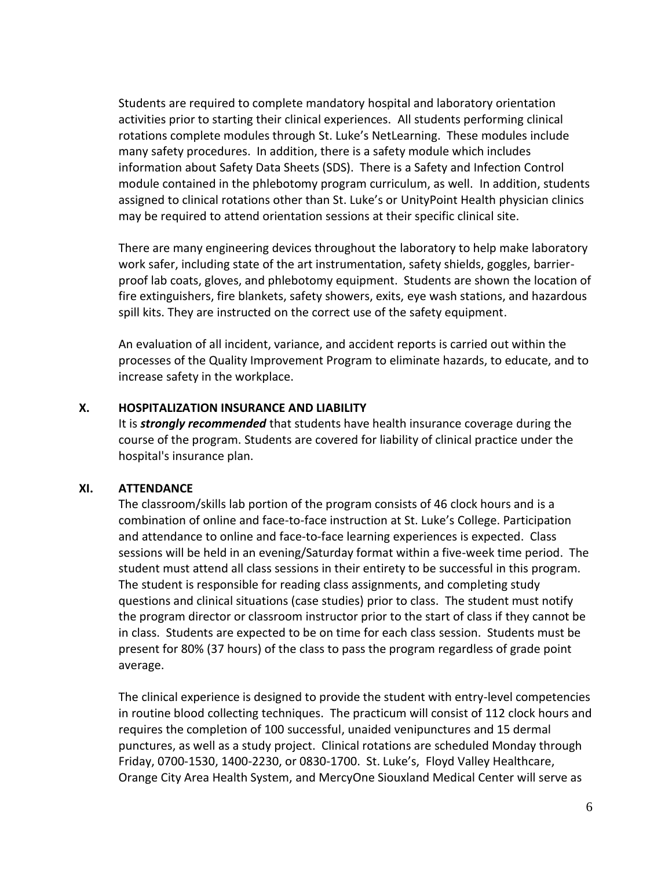Students are required to complete mandatory hospital and laboratory orientation activities prior to starting their clinical experiences. All students performing clinical rotations complete modules through St. Luke's NetLearning. These modules include many safety procedures. In addition, there is a safety module which includes information about Safety Data Sheets (SDS). There is a Safety and Infection Control module contained in the phlebotomy program curriculum, as well. In addition, students assigned to clinical rotations other than St. Luke's or UnityPoint Health physician clinics may be required to attend orientation sessions at their specific clinical site.

There are many engineering devices throughout the laboratory to help make laboratory work safer, including state of the art instrumentation, safety shields, goggles, barrierproof lab coats, gloves, and phlebotomy equipment. Students are shown the location of fire extinguishers, fire blankets, safety showers, exits, eye wash stations, and hazardous spill kits. They are instructed on the correct use of the safety equipment.

An evaluation of all incident, variance, and accident reports is carried out within the processes of the Quality Improvement Program to eliminate hazards, to educate, and to increase safety in the workplace.

#### **X. HOSPITALIZATION INSURANCE AND LIABILITY**

It is *strongly recommended* that students have health insurance coverage during the course of the program. Students are covered for liability of clinical practice under the hospital's insurance plan.

#### **XI. ATTENDANCE**

The classroom/skills lab portion of the program consists of 46 clock hours and is a combination of online and face-to-face instruction at St. Luke's College. Participation and attendance to online and face-to-face learning experiences is expected. Class sessions will be held in an evening/Saturday format within a five-week time period. The student must attend all class sessions in their entirety to be successful in this program. The student is responsible for reading class assignments, and completing study questions and clinical situations (case studies) prior to class. The student must notify the program director or classroom instructor prior to the start of class if they cannot be in class. Students are expected to be on time for each class session. Students must be present for 80% (37 hours) of the class to pass the program regardless of grade point average.

The clinical experience is designed to provide the student with entry-level competencies in routine blood collecting techniques. The practicum will consist of 112 clock hours and requires the completion of 100 successful, unaided venipunctures and 15 dermal punctures, as well as a study project. Clinical rotations are scheduled Monday through Friday, 0700-1530, 1400-2230, or 0830-1700. St. Luke's, Floyd Valley Healthcare, Orange City Area Health System, and MercyOne Siouxland Medical Center will serve as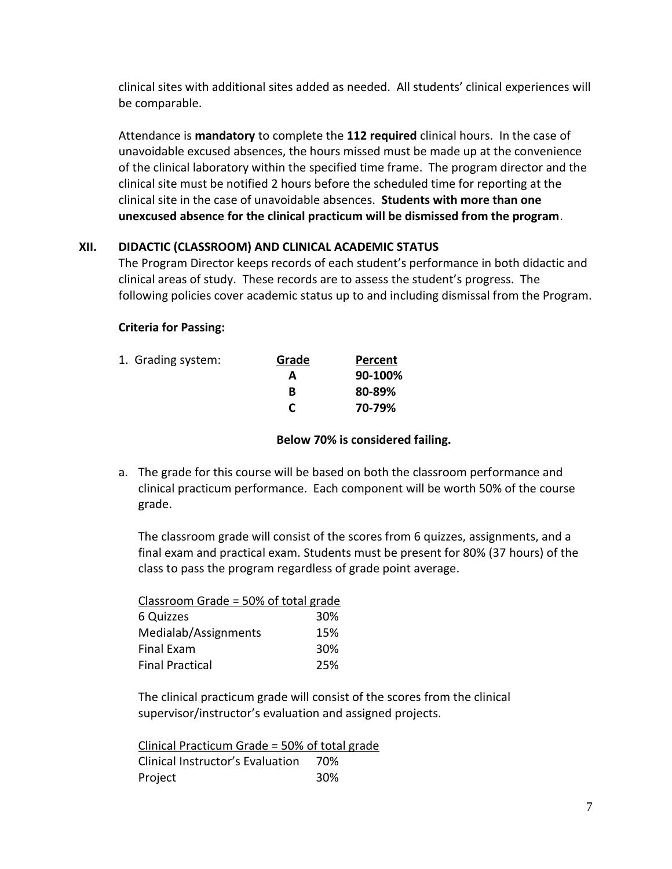clinical sites with additional sites added as needed. All students' clinical experiences will be comparable.

Attendance is **mandatory** to complete the **112 required** clinical hours. In the case of unavoidable excused absences, the hours missed must be made up at the convenience of the clinical laboratory within the specified time frame. The program director and the clinical site must be notified 2 hours before the scheduled time for reporting at the clinical site in the case of unavoidable absences. **Students with more than one unexcused absence for the clinical practicum will be dismissed from the program**.

### **XII. DIDACTIC (CLASSROOM) AND CLINICAL ACADEMIC STATUS**

The Program Director keeps records of each student's performance in both didactic and clinical areas of study. These records are to assess the student's progress. The following policies cover academic status up to and including dismissal from the Program.

### **Criteria for Passing:**

| 1. Grading system: | Grade | Percent |
|--------------------|-------|---------|
|                    | А     | 90-100% |
|                    | в     | 80-89%  |
|                    |       | 70-79%  |
|                    |       |         |

#### **Below 70% is considered failing.**

a. The grade for this course will be based on both the classroom performance and clinical practicum performance. Each component will be worth 50% of the course grade.

The classroom grade will consist of the scores from 6 quizzes, assignments, and a final exam and practical exam. Students must be present for 80% (37 hours) of the class to pass the program regardless of grade point average.

| Classroom Grade = 50% of total grade |     |
|--------------------------------------|-----|
| 6 Quizzes                            | 30% |
| Medialab/Assignments                 | 15% |
| <b>Final Exam</b>                    | 30% |
| <b>Final Practical</b>               | 25% |

The clinical practicum grade will consist of the scores from the clinical supervisor/instructor's evaluation and assigned projects.

Clinical Practicum Grade = 50% of total grade Clinical Instructor's Evaluation 70% Project 30%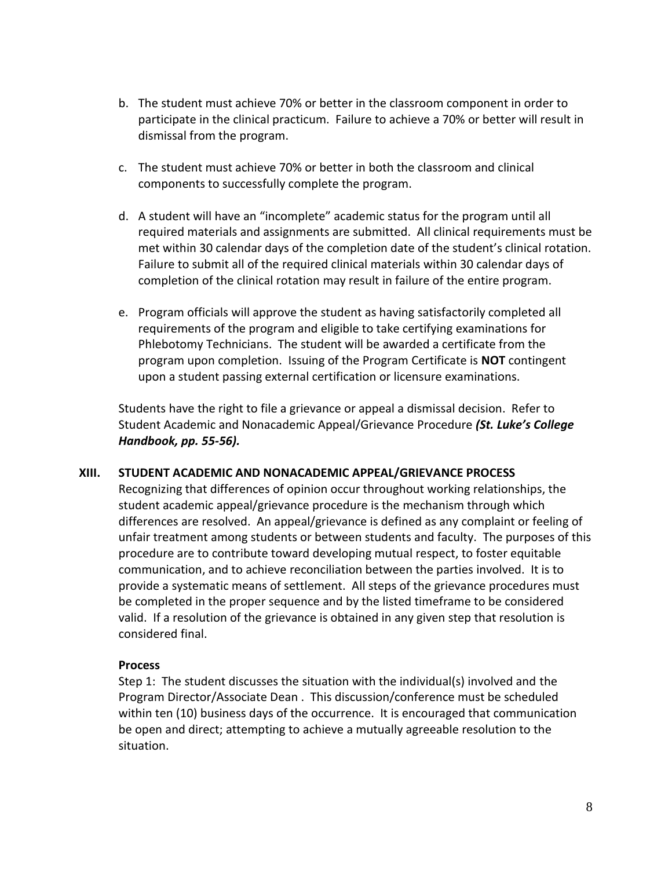- b. The student must achieve 70% or better in the classroom component in order to participate in the clinical practicum. Failure to achieve a 70% or better will result in dismissal from the program.
- c. The student must achieve 70% or better in both the classroom and clinical components to successfully complete the program.
- d. A student will have an "incomplete" academic status for the program until all required materials and assignments are submitted. All clinical requirements must be met within 30 calendar days of the completion date of the student's clinical rotation. Failure to submit all of the required clinical materials within 30 calendar days of completion of the clinical rotation may result in failure of the entire program.
- e. Program officials will approve the student as having satisfactorily completed all requirements of the program and eligible to take certifying examinations for Phlebotomy Technicians. The student will be awarded a certificate from the program upon completion. Issuing of the Program Certificate is **NOT** contingent upon a student passing external certification or licensure examinations.

Students have the right to file a grievance or appeal a dismissal decision. Refer to Student Academic and Nonacademic Appeal/Grievance Procedure *(St. Luke's College Handbook, pp. 55-56).*

#### **XIII. STUDENT ACADEMIC AND NONACADEMIC APPEAL/GRIEVANCE PROCESS**

Recognizing that differences of opinion occur throughout working relationships, the student academic appeal/grievance procedure is the mechanism through which differences are resolved. An appeal/grievance is defined as any complaint or feeling of unfair treatment among students or between students and faculty. The purposes of this procedure are to contribute toward developing mutual respect, to foster equitable communication, and to achieve reconciliation between the parties involved. It is to provide a systematic means of settlement. All steps of the grievance procedures must be completed in the proper sequence and by the listed timeframe to be considered valid. If a resolution of the grievance is obtained in any given step that resolution is considered final.

#### **Process**

Step 1: The student discusses the situation with the individual(s) involved and the Program Director/Associate Dean . This discussion/conference must be scheduled within ten (10) business days of the occurrence. It is encouraged that communication be open and direct; attempting to achieve a mutually agreeable resolution to the situation.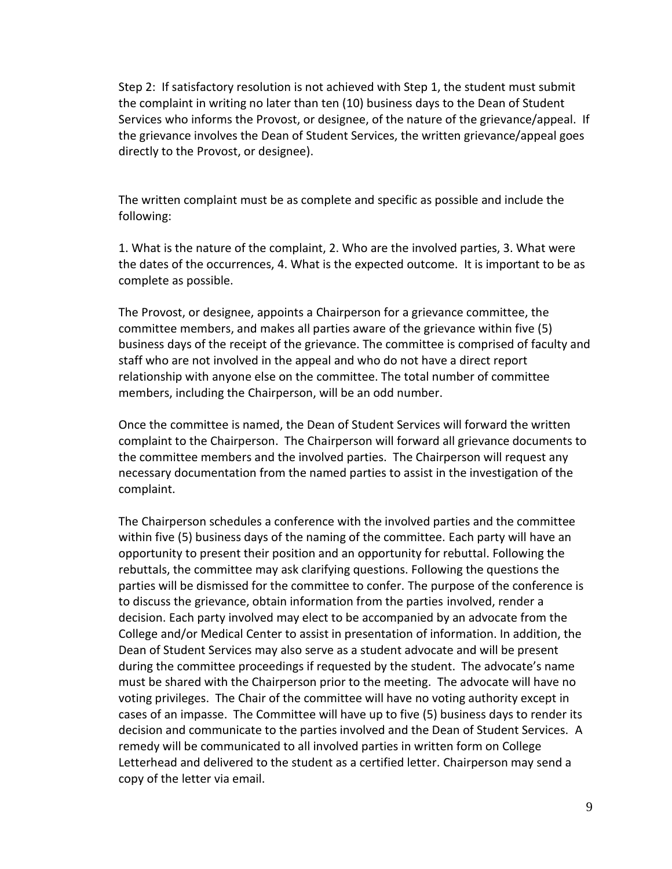Step 2: If satisfactory resolution is not achieved with Step 1, the student must submit the complaint in writing no later than ten (10) business days to the Dean of Student Services who informs the Provost, or designee, of the nature of the grievance/appeal. If the grievance involves the Dean of Student Services, the written grievance/appeal goes directly to the Provost, or designee).

The written complaint must be as complete and specific as possible and include the following:

1. What is the nature of the complaint, 2. Who are the involved parties, 3. What were the dates of the occurrences, 4. What is the expected outcome. It is important to be as complete as possible.

The Provost, or designee, appoints a Chairperson for a grievance committee, the committee members, and makes all parties aware of the grievance within five (5) business days of the receipt of the grievance. The committee is comprised of faculty and staff who are not involved in the appeal and who do not have a direct report relationship with anyone else on the committee. The total number of committee members, including the Chairperson, will be an odd number.

Once the committee is named, the Dean of Student Services will forward the written complaint to the Chairperson. The Chairperson will forward all grievance documents to the committee members and the involved parties. The Chairperson will request any necessary documentation from the named parties to assist in the investigation of the complaint.

The Chairperson schedules a conference with the involved parties and the committee within five (5) business days of the naming of the committee. Each party will have an opportunity to present their position and an opportunity for rebuttal. Following the rebuttals, the committee may ask clarifying questions. Following the questions the parties will be dismissed for the committee to confer. The purpose of the conference is to discuss the grievance, obtain information from the parties involved, render a decision. Each party involved may elect to be accompanied by an advocate from the College and/or Medical Center to assist in presentation of information. In addition, the Dean of Student Services may also serve as a student advocate and will be present during the committee proceedings if requested by the student. The advocate's name must be shared with the Chairperson prior to the meeting. The advocate will have no voting privileges. The Chair of the committee will have no voting authority except in cases of an impasse. The Committee will have up to five (5) business days to render its decision and communicate to the parties involved and the Dean of Student Services. A remedy will be communicated to all involved parties in written form on College Letterhead and delivered to the student as a certified letter. Chairperson may send a copy of the letter via email.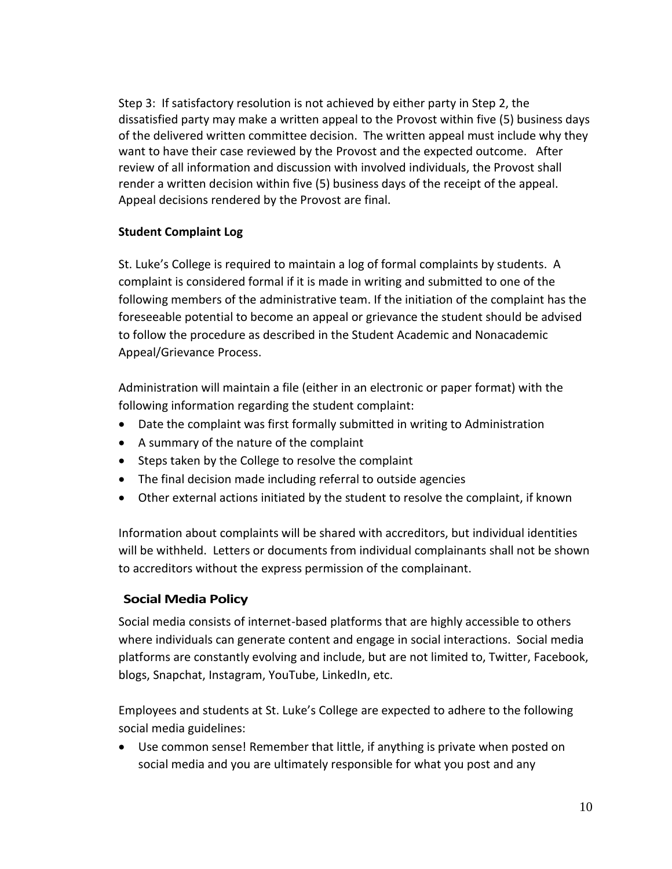Step 3: If satisfactory resolution is not achieved by either party in Step 2, the dissatisfied party may make a written appeal to the Provost within five (5) business days of the delivered written committee decision. The written appeal must include why they want to have their case reviewed by the Provost and the expected outcome. After review of all information and discussion with involved individuals, the Provost shall render a written decision within five (5) business days of the receipt of the appeal. Appeal decisions rendered by the Provost are final.

### **Student Complaint Log**

St. Luke's College is required to maintain a log of formal complaints by students. A complaint is considered formal if it is made in writing and submitted to one of the following members of the administrative team. If the initiation of the complaint has the foreseeable potential to become an appeal or grievance the student should be advised to follow the procedure as described in the Student Academic and Nonacademic Appeal/Grievance Process.

Administration will maintain a file (either in an electronic or paper format) with the following information regarding the student complaint:

- Date the complaint was first formally submitted in writing to Administration
- A summary of the nature of the complaint
- Steps taken by the College to resolve the complaint
- The final decision made including referral to outside agencies
- Other external actions initiated by the student to resolve the complaint, if known

Information about complaints will be shared with accreditors, but individual identities will be withheld. Letters or documents from individual complainants shall not be shown to accreditors without the express permission of the complainant.

### **Social Media Policy**

Social media consists of internet-based platforms that are highly accessible to others where individuals can generate content and engage in social interactions. Social media platforms are constantly evolving and include, but are not limited to, Twitter, Facebook, blogs, Snapchat, Instagram, YouTube, LinkedIn, etc.

Employees and students at St. Luke's College are expected to adhere to the following social media guidelines:

• Use common sense! Remember that little, if anything is private when posted on social media and you are ultimately responsible for what you post and any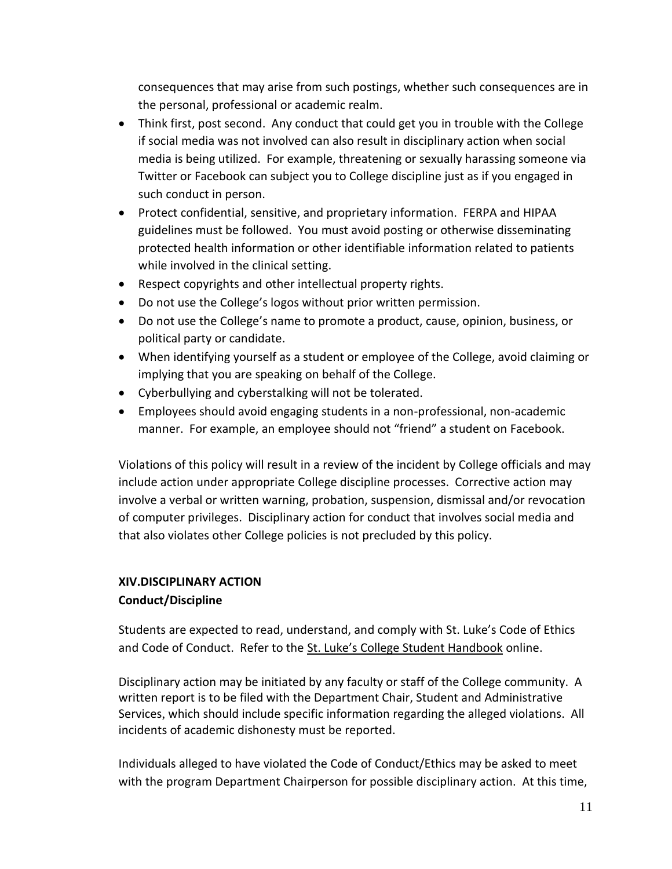consequences that may arise from such postings, whether such consequences are in the personal, professional or academic realm.

- Think first, post second. Any conduct that could get you in trouble with the College if social media was not involved can also result in disciplinary action when social media is being utilized. For example, threatening or sexually harassing someone via Twitter or Facebook can subject you to College discipline just as if you engaged in such conduct in person.
- Protect confidential, sensitive, and proprietary information. FERPA and HIPAA guidelines must be followed. You must avoid posting or otherwise disseminating protected health information or other identifiable information related to patients while involved in the clinical setting.
- Respect copyrights and other intellectual property rights.
- Do not use the College's logos without prior written permission.
- Do not use the College's name to promote a product, cause, opinion, business, or political party or candidate.
- When identifying yourself as a student or employee of the College, avoid claiming or implying that you are speaking on behalf of the College.
- Cyberbullying and cyberstalking will not be tolerated.
- Employees should avoid engaging students in a non-professional, non-academic manner. For example, an employee should not "friend" a student on Facebook.

Violations of this policy will result in a review of the incident by College officials and may include action under appropriate College discipline processes. Corrective action may involve a verbal or written warning, probation, suspension, dismissal and/or revocation of computer privileges. Disciplinary action for conduct that involves social media and that also violates other College policies is not precluded by this policy.

# **XIV.DISCIPLINARY ACTION Conduct/Discipline**

Students are expected to read, understand, and comply with St. Luke's Code of Ethics and Code of Conduct. Refer to the [St. Luke's College Student Handbook](http://www.stlukescollege.edu/body.cfm?id=148) online.

Disciplinary action may be initiated by any faculty or staff of the College community. A written report is to be filed with the Department Chair, Student and Administrative Services, which should include specific information regarding the alleged violations. All incidents of academic dishonesty must be reported.

Individuals alleged to have violated the Code of Conduct/Ethics may be asked to meet with the program Department Chairperson for possible disciplinary action. At this time,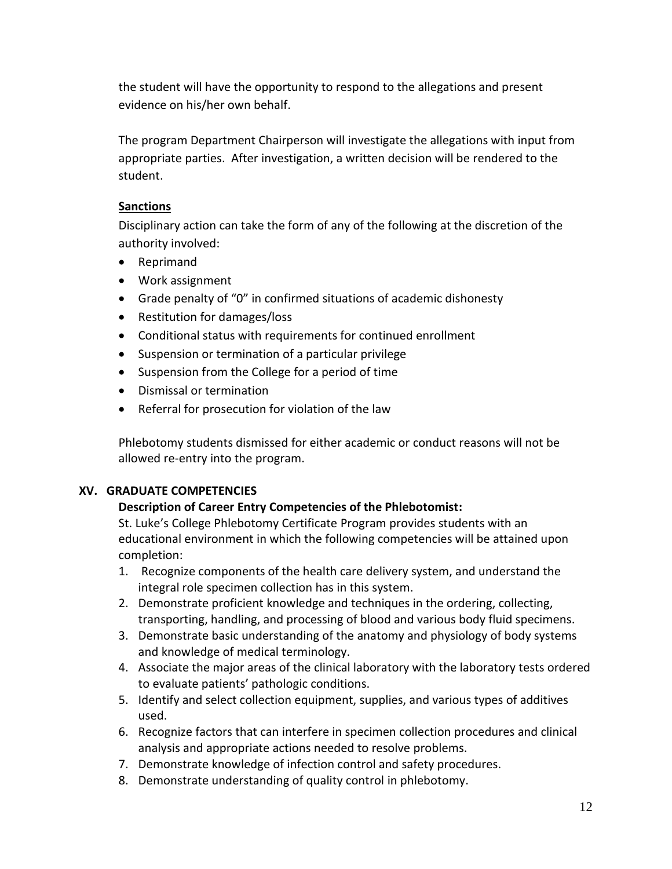the student will have the opportunity to respond to the allegations and present evidence on his/her own behalf.

The program Department Chairperson will investigate the allegations with input from appropriate parties. After investigation, a written decision will be rendered to the student.

### **Sanctions**

Disciplinary action can take the form of any of the following at the discretion of the authority involved:

- Reprimand
- Work assignment
- Grade penalty of "0" in confirmed situations of academic dishonesty
- Restitution for damages/loss
- Conditional status with requirements for continued enrollment
- Suspension or termination of a particular privilege
- Suspension from the College for a period of time
- Dismissal or termination
- Referral for prosecution for violation of the law

Phlebotomy students dismissed for either academic or conduct reasons will not be allowed re-entry into the program.

### **XV. GRADUATE COMPETENCIES**

### **Description of Career Entry Competencies of the Phlebotomist:**

St. Luke's College Phlebotomy Certificate Program provides students with an educational environment in which the following competencies will be attained upon completion:

- 1. Recognize components of the health care delivery system, and understand the integral role specimen collection has in this system.
- 2. Demonstrate proficient knowledge and techniques in the ordering, collecting, transporting, handling, and processing of blood and various body fluid specimens.
- 3. Demonstrate basic understanding of the anatomy and physiology of body systems and knowledge of medical terminology.
- 4. Associate the major areas of the clinical laboratory with the laboratory tests ordered to evaluate patients' pathologic conditions.
- 5. Identify and select collection equipment, supplies, and various types of additives used.
- 6. Recognize factors that can interfere in specimen collection procedures and clinical analysis and appropriate actions needed to resolve problems.
- 7. Demonstrate knowledge of infection control and safety procedures.
- 8. Demonstrate understanding of quality control in phlebotomy.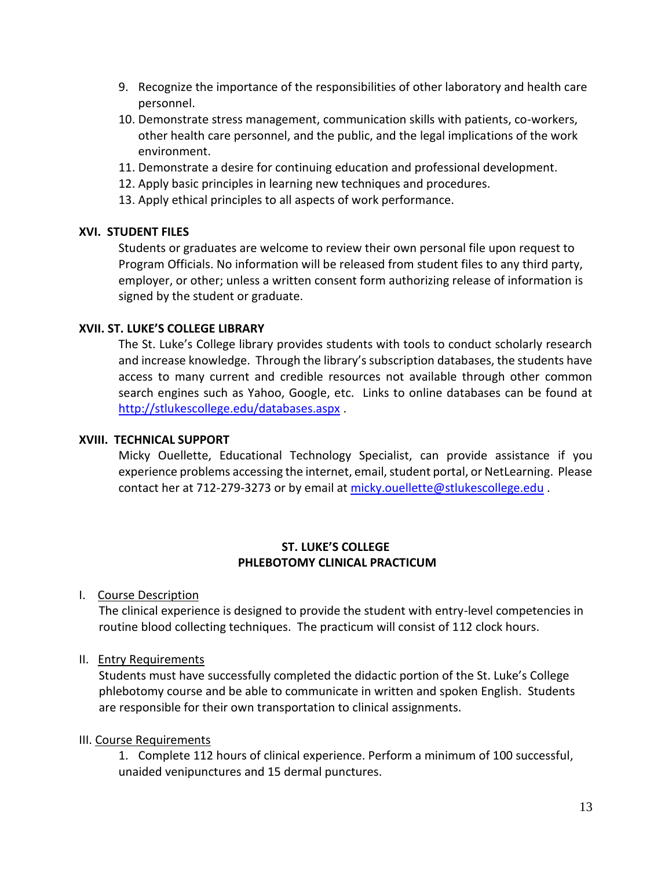- 9. Recognize the importance of the responsibilities of other laboratory and health care personnel.
- 10. Demonstrate stress management, communication skills with patients, co-workers, other health care personnel, and the public, and the legal implications of the work environment.
- 11. Demonstrate a desire for continuing education and professional development.
- 12. Apply basic principles in learning new techniques and procedures.
- 13. Apply ethical principles to all aspects of work performance.

### **XVI. STUDENT FILES**

Students or graduates are welcome to review their own personal file upon request to Program Officials. No information will be released from student files to any third party, employer, or other; unless a written consent form authorizing release of information is signed by the student or graduate.

### **XVII. ST. LUKE'S COLLEGE LIBRARY**

The St. Luke's College library provides students with tools to conduct scholarly research and increase knowledge. Through the library's subscription databases, the students have access to many current and credible resources not available through other common search engines such as Yahoo, Google, etc. Links to online databases can be found at <http://stlukescollege.edu/databases.aspx> .

#### **XVIII. TECHNICAL SUPPORT**

Micky Ouellette, Educational Technology Specialist, can provide assistance if you experience problems accessing the internet, email, student portal, or NetLearning. Please contact her at 712-279-3273 or by email at [micky.ouellette@stlukescollege.edu](mailto:micky.ouellette@stlukescollege.edu).

#### **ST. LUKE'S COLLEGE PHLEBOTOMY CLINICAL PRACTICUM**

I. Course Description

The clinical experience is designed to provide the student with entry-level competencies in routine blood collecting techniques. The practicum will consist of 112 clock hours.

#### II. Entry Requirements

Students must have successfully completed the didactic portion of the St. Luke's College phlebotomy course and be able to communicate in written and spoken English. Students are responsible for their own transportation to clinical assignments.

### III. Course Requirements

1. Complete 112 hours of clinical experience. Perform a minimum of 100 successful, unaided venipunctures and 15 dermal punctures.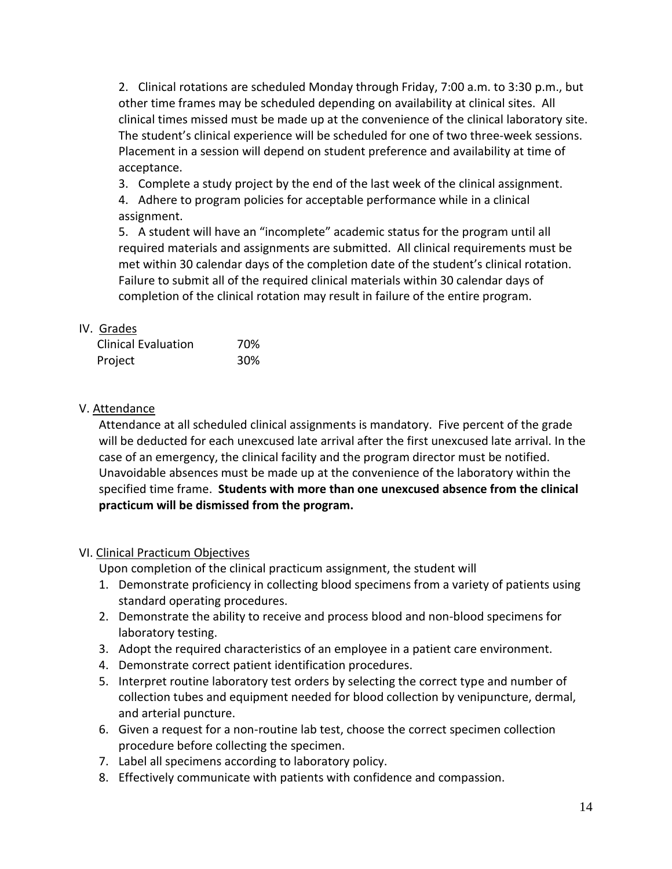2. Clinical rotations are scheduled Monday through Friday, 7:00 a.m. to 3:30 p.m., but other time frames may be scheduled depending on availability at clinical sites. All clinical times missed must be made up at the convenience of the clinical laboratory site. The student's clinical experience will be scheduled for one of two three-week sessions. Placement in a session will depend on student preference and availability at time of acceptance.

3. Complete a study project by the end of the last week of the clinical assignment.

4. Adhere to program policies for acceptable performance while in a clinical assignment.

5. A student will have an "incomplete" academic status for the program until all required materials and assignments are submitted. All clinical requirements must be met within 30 calendar days of the completion date of the student's clinical rotation. Failure to submit all of the required clinical materials within 30 calendar days of completion of the clinical rotation may result in failure of the entire program.

## IV. Grades

| <b>Clinical Evaluation</b> | 70% |
|----------------------------|-----|
| Project                    | 30% |

### V. Attendance

Attendance at all scheduled clinical assignments is mandatory. Five percent of the grade will be deducted for each unexcused late arrival after the first unexcused late arrival. In the case of an emergency, the clinical facility and the program director must be notified. Unavoidable absences must be made up at the convenience of the laboratory within the specified time frame. **Students with more than one unexcused absence from the clinical practicum will be dismissed from the program.**

### VI. Clinical Practicum Objectives

Upon completion of the clinical practicum assignment, the student will

- 1. Demonstrate proficiency in collecting blood specimens from a variety of patients using standard operating procedures.
- 2. Demonstrate the ability to receive and process blood and non-blood specimens for laboratory testing.
- 3. Adopt the required characteristics of an employee in a patient care environment.
- 4. Demonstrate correct patient identification procedures.
- 5. Interpret routine laboratory test orders by selecting the correct type and number of collection tubes and equipment needed for blood collection by venipuncture, dermal, and arterial puncture.
- 6. Given a request for a non-routine lab test, choose the correct specimen collection procedure before collecting the specimen.
- 7. Label all specimens according to laboratory policy.
- 8. Effectively communicate with patients with confidence and compassion.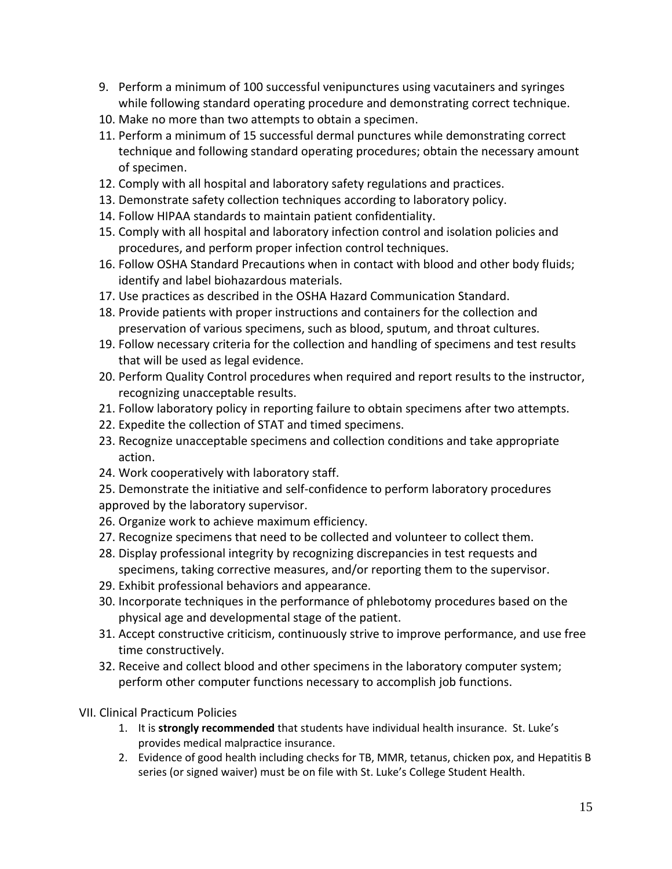- 9. Perform a minimum of 100 successful venipunctures using vacutainers and syringes while following standard operating procedure and demonstrating correct technique.
- 10. Make no more than two attempts to obtain a specimen.
- 11. Perform a minimum of 15 successful dermal punctures while demonstrating correct technique and following standard operating procedures; obtain the necessary amount of specimen.
- 12. Comply with all hospital and laboratory safety regulations and practices.
- 13. Demonstrate safety collection techniques according to laboratory policy.
- 14. Follow HIPAA standards to maintain patient confidentiality.
- 15. Comply with all hospital and laboratory infection control and isolation policies and procedures, and perform proper infection control techniques.
- 16. Follow OSHA Standard Precautions when in contact with blood and other body fluids; identify and label biohazardous materials.
- 17. Use practices as described in the OSHA Hazard Communication Standard.
- 18. Provide patients with proper instructions and containers for the collection and preservation of various specimens, such as blood, sputum, and throat cultures.
- 19. Follow necessary criteria for the collection and handling of specimens and test results that will be used as legal evidence.
- 20. Perform Quality Control procedures when required and report results to the instructor, recognizing unacceptable results.
- 21. Follow laboratory policy in reporting failure to obtain specimens after two attempts.
- 22. Expedite the collection of STAT and timed specimens.
- 23. Recognize unacceptable specimens and collection conditions and take appropriate action.
- 24. Work cooperatively with laboratory staff.
- 25. Demonstrate the initiative and self-confidence to perform laboratory procedures
- approved by the laboratory supervisor.
- 26. Organize work to achieve maximum efficiency.
- 27. Recognize specimens that need to be collected and volunteer to collect them.
- 28. Display professional integrity by recognizing discrepancies in test requests and specimens, taking corrective measures, and/or reporting them to the supervisor.
- 29. Exhibit professional behaviors and appearance.
- 30. Incorporate techniques in the performance of phlebotomy procedures based on the physical age and developmental stage of the patient.
- 31. Accept constructive criticism, continuously strive to improve performance, and use free time constructively.
- 32. Receive and collect blood and other specimens in the laboratory computer system; perform other computer functions necessary to accomplish job functions.
- VII. Clinical Practicum Policies
	- 1. It is **strongly recommended** that students have individual health insurance. St. Luke's provides medical malpractice insurance.
	- 2. Evidence of good health including checks for TB, MMR, tetanus, chicken pox, and Hepatitis B series (or signed waiver) must be on file with St. Luke's College Student Health.